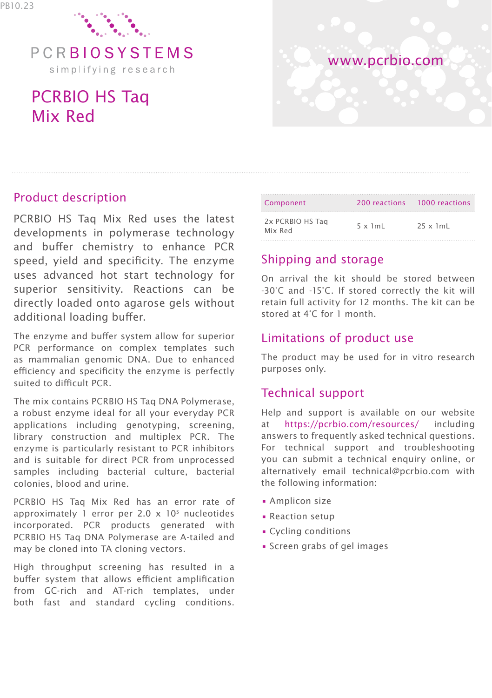

simplifying research

# PCRBIO HS Taq Mix Red



### Product description

PCRBIO HS Taq Mix Red uses the latest developments in polymerase technology and buffer chemistry to enhance PCR speed, yield and specificity. The enzyme uses advanced hot start technology for superior sensitivity. Reactions can be directly loaded onto agarose gels without additional loading buffer.

The enzyme and buffer system allow for superior PCR performance on complex templates such as mammalian genomic DNA. Due to enhanced efficiency and specificity the enzyme is perfectly suited to difficult PCR.

The mix contains PCRBIO HS Tag DNA Polymerase. a robust enzyme ideal for all your everyday PCR applications including genotyping, screening, library construction and multiplex PCR. The enzyme is particularly resistant to PCR inhibitors and is suitable for direct PCR from unprocessed samples including bacterial culture, bacterial colonies, blood and urine.

PCRBIO HS Taq Mix Red has an error rate of approximately 1 error per 2.0 x 105 nucleotides incorporated. PCR products generated with PCRBIO HS Taq DNA Polymerase are A-tailed and may be cloned into TA cloning vectors.

High throughput screening has resulted in a buffer system that allows efficient amplification from GC-rich and AT-rich templates, under both fast and standard cycling conditions.

| Component                   |                 | 200 reactions 1000 reactions |
|-----------------------------|-----------------|------------------------------|
| 2x PCRBIO HS Tag<br>Mix Red | $5 \times 1m$ L | $25 \times 1$ mL             |

# Shipping and storage

On arrival the kit should be stored between -30°C and -15°C. If stored correctly the kit will retain full activity for 12 months. The kit can be stored at 4°C for 1 month.

## Limitations of product use

The product may be used for in vitro research purposes only.

### Technical support

Help and support is available on our website at https://pcrbio.com/resources/ including answers to frequently asked technical questions. For technical support and troubleshooting you can submit a technical enquiry online, or alternatively email technical@pcrbio.com with the following information:

- Amplicon size
- Reaction setup
- Cycling conditions
- Screen grabs of gel images